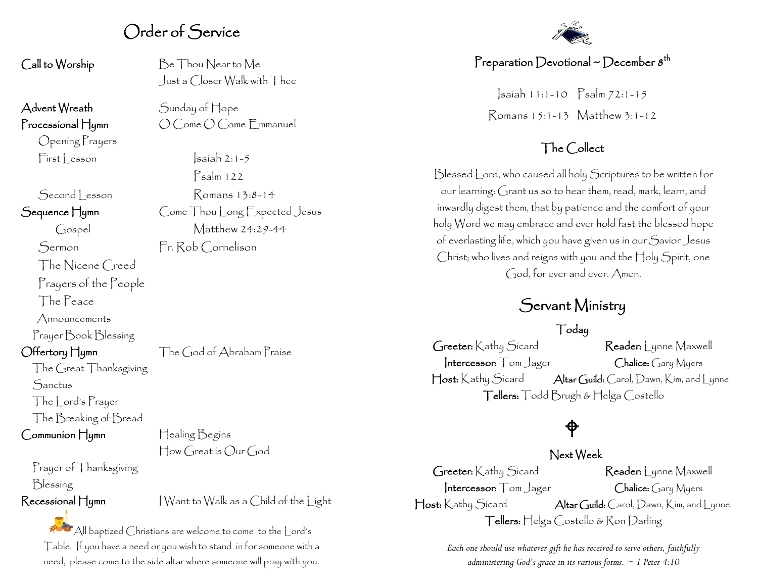## Order of Service

Advent Wreath Sunday of Hope

Opening Prayers

The Nicene Creed Prayers of the People

The Peace

Announcements

Prayer Book Blessing

The Great Thanksgiving **Sanctus** 

The Lord's Prayer The Breaking of Bread

Communion Hymn Healing Begins

Prayer of Thanksgiving Blessing

Recessional Hymn I Want to Walk as a Child of the Light

All baptized Christians are welcome to come to the Lord's Table. If you have a need or you wish to stand in for someone with a need, please come to the side altar where someone will pray with you.

Call to Worship Be Thou Near to Me Just a Closer Walk with Thee

Processional Hymn  $O$  Come O Come Emmanuel

 $First|$  esson  $|s$ aiah 2:1-5 Psalm 122 Second Lesson Romans 13:8-14 Sequence Hymn Come Thou Long Expected Jesus Gospel Matthew 24:29-44

Sermon Fr. Rob Cornelison

Offertory Hymn The God of Abraham Praise

How Great is Our God



### Preparation Devotional ~ December  $s^{\text{th}}$

Isaiah 11:1-10 Psalm 72:1-15 Romans 15:1-13 Matthew 3:1-12

### The Collect

Blessed Lord, who caused all holy Scriptures to be written for our learning: Grant us so to hear them, read, mark, learn, and inwardly digest them, that by patience and the comfort of your holy Word we may embrace and ever hold fast the blessed hope of everlasting life, which you have given us in our Savior Jesus Christ; who lives and reigns with you and the Holy Spirit, one God, for ever and ever. Amen.

# Servant Ministry

### Today

Greeter: Kathy Sicard Reader: Lynne Maxwell Intercessor: Tom Jager Chalice: Gary Myers Host: Kathy Sicard Altar Guild: Carol, Dawn, Kim, and Lynne Tellers: Todd Brugh & Helga Costello

# ⊕

### Next Week

Greeter: Kathy Sicard Reader: Lynne Maxwell Intercessor: Tom Jager Chalice: Gary Myers Host: Kathy Sicard Altar Guild: Carol, Dawn, Kim, and Lynne Tellers: Helga Costello & Ron Darling

> *Each one should use whatever gift he has received to serve others, faithfully administering God's grace in its various forms. ~ 1 Peter 4:10*